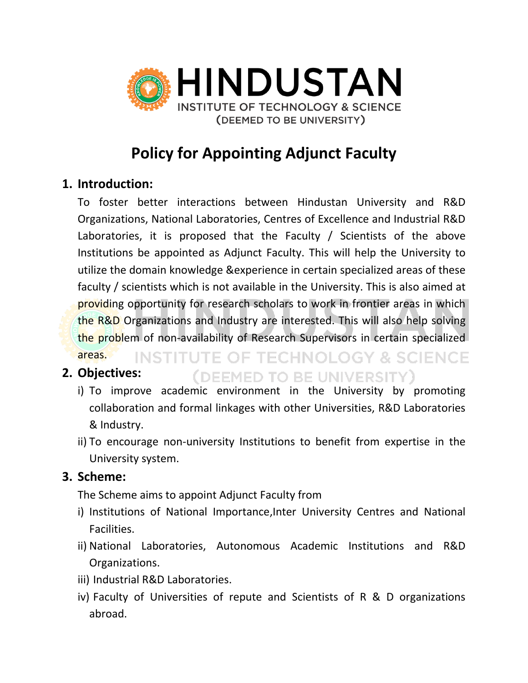

# **Policy for Appointing Adjunct Faculty**

### **1. Introduction:**

To foster better interactions between Hindustan University and R&D Organizations, National Laboratories, Centres of Excellence and Industrial R&D Laboratories, it is proposed that the Faculty / Scientists of the above Institutions be appointed as Adjunct Faculty. This will help the University to utilize the domain knowledge &experience in certain specialized areas of these faculty / scientists which is not available in the University. This is also aimed at providing opportunity for research scholars to work in frontier areas in which the R&D Organizations and Industry are interested. This will also help solving the problem of non-availability of Research Supervisors in certain specialized areas. **INSTITUTE OF TECHNOLOGY & SCIENCE** 

### **2. Objectives:**

i) To improve academic environment in the University by promoting collaboration and formal linkages with other Universities, R&D Laboratories & Industry.

(DEEMED TO BE UNIVERSITY)

ii) To encourage non-university Institutions to benefit from expertise in the University system.

#### **3. Scheme:**

The Scheme aims to appoint Adjunct Faculty from

- i) Institutions of National Importance,Inter University Centres and National Facilities.
- ii) National Laboratories, Autonomous Academic Institutions and R&D Organizations.
- iii) Industrial R&D Laboratories.
- iv) Faculty of Universities of repute and Scientists of R & D organizations abroad.